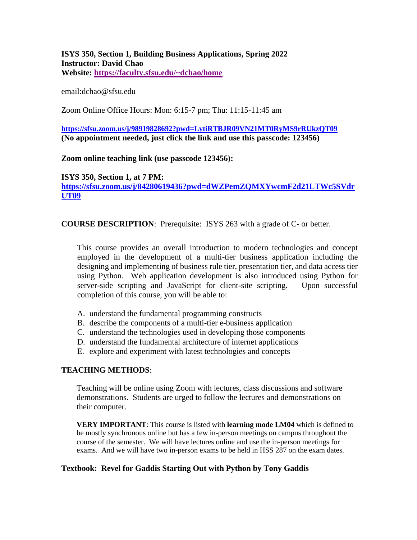#### **ISYS 350, Section 1, Building Business Applications, Spring 2022 Instructor: David Chao Website:<https://faculty.sfsu.edu/~dchao/home>**

email:dchao@sfsu.edu

Zoom Online Office Hours: Mon: 6:15-7 pm; Thu: 11:15-11:45 am

**<https://sfsu.zoom.us/j/98919828692?pwd=LytiRTBJR09VN21MT0RyMS9rRUkzQT09> (No appointment needed, just click the link and use this passcode: 123456)**

**Zoom online teaching link (use passcode 123456):**

**ISYS 350, Section 1, at 7 PM: [https://sfsu.zoom.us/j/84280619436?pwd=dWZPemZQMXYwcmF2d21LTWc5SVdr](https://sfsu.zoom.us/j/84280619436?pwd=dWZPemZQMXYwcmF2d21LTWc5SVdrUT09) [UT09](https://sfsu.zoom.us/j/84280619436?pwd=dWZPemZQMXYwcmF2d21LTWc5SVdrUT09)**

**COURSE DESCRIPTION**: Prerequisite: ISYS 263 with a grade of C- or better.

This course provides an overall introduction to modern technologies and concept employed in the development of a multi-tier business application including the designing and implementing of business rule tier, presentation tier, and data access tier using Python. Web application development is also introduced using Python for server-side scripting and JavaScript for client-site scripting. Upon successful completion of this course, you will be able to:

- A. understand the fundamental programming constructs
- B. describe the components of a multi-tier e-business application
- C. understand the technologies used in developing those components
- D. understand the fundamental architecture of internet applications
- E. explore and experiment with latest technologies and concepts

#### **TEACHING METHODS**:

Teaching will be online using Zoom with lectures, class discussions and software demonstrations. Students are urged to follow the lectures and demonstrations on their computer.

**VERY IMPORTANT**: This course is listed with **learning mode LM04** which is defined to be mostly synchronous online but has a few in-person meetings on campus throughout the course of the semester. We will have lectures online and use the in-person meetings for exams. And we will have two in-person exams to be held in HSS 287 on the exam dates.

#### **Textbook: Revel for Gaddis Starting Out with Python by Tony Gaddis**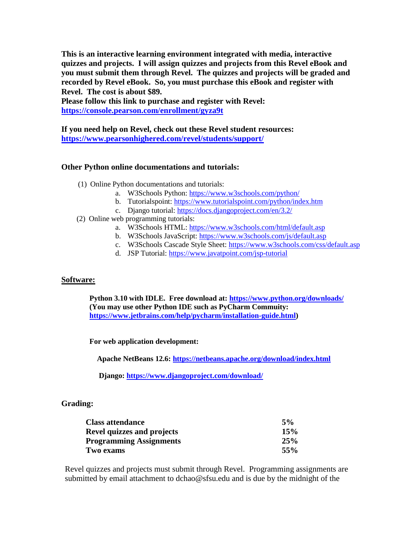**This is an interactive learning environment integrated with media, interactive quizzes and projects. I will assign quizzes and projects from this Revel eBook and you must submit them through Revel. The quizzes and projects will be graded and recorded by Revel eBook. So, you must purchase this eBook and register with Revel. The cost is about \$89.** 

**Please follow this link to purchase and register with Revel: <https://console.pearson.com/enrollment/gyza9t>**

**If you need help on Revel, check out these Revel student resources: <https://www.pearsonhighered.com/revel/students/support/>**

### **Other Python online documentations and tutorials:**

- (1) Online Python documentations and tutorials:
	- a. W3Schools Python:<https://www.w3schools.com/python/>
	- b. Tutorialspoint:<https://www.tutorialspoint.com/python/index.htm>
	- c. Django tutorial:<https://docs.djangoproject.com/en/3.2/>
- (2) Online web programming tutorials:
	- a. W3Schools HTML:<https://www.w3schools.com/html/default.asp>
	- b. W3Schools JavaScript:<https://www.w3schools.com/js/default.asp>
	- c. W3Schools Cascade Style Sheet:<https://www.w3schools.com/css/default.asp>
	- d. JSP Tutorial:<https://www.javatpoint.com/jsp-tutorial>

#### **Software:**

**Python 3.10 with IDLE. Free download at[: https://www.python.org/downloads/](https://www.python.org/downloads/) (You may use other Python IDE such as PyCharm Commuity: [https://www.jetbrains.com/help/pycharm/installation-guide.html\)](https://www.jetbrains.com/help/pycharm/installation-guide.html)**

**For web application development:**

**Apache NetBeans 12.6[: https://netbeans.apache.org/download/index.html](https://netbeans.apache.org/download/index.html)**

 **Django:<https://www.djangoproject.com/download/>**

#### **Grading:**

| <b>Class attendance</b>           | 5%  |
|-----------------------------------|-----|
| <b>Revel quizzes and projects</b> | 15% |
| <b>Programming Assignments</b>    | 25% |
| Two exams                         | 55% |

Revel quizzes and projects must submit through Revel. Programming assignments are submitted by email attachment to dchao@sfsu.edu and is due by the midnight of the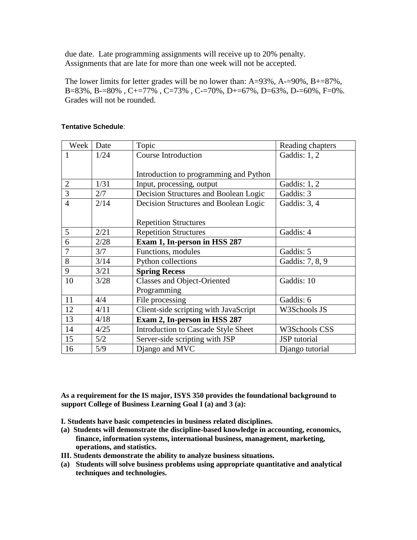due date. Late programming assignments will receive up to 20% penalty. Assignments that are late for more than one week will not be accepted.

The lower limits for letter grades will be no lower than:  $A=93\%$ ,  $A=-90\%$ ,  $B=-87\%$ , B=83%, B-=80%, C+=77%, C=73%, C-=70%, D+=67%, D=63%, D-=60%, F=0%. Grades will not be rounded.

| Week           | Date | Topic                                  | Reading chapters |
|----------------|------|----------------------------------------|------------------|
| 1              | 1/24 | <b>Course Introduction</b>             | Gaddis: 1, 2     |
|                |      |                                        |                  |
|                |      | Introduction to programming and Python |                  |
| $\overline{2}$ | 1/31 | Input, processing, output              | Gaddis: 1, 2     |
| $\overline{3}$ | 2/7  | Decision Structures and Boolean Logic  | Gaddis: 3        |
| $\overline{4}$ | 2/14 | Decision Structures and Boolean Logic  | Gaddis: 3, 4     |
|                |      |                                        |                  |
|                |      | <b>Repetition Structures</b>           |                  |
| 5              | 2/21 | <b>Repetition Structures</b>           | Gaddis: 4        |
| 6              | 2/28 | Exam 1, In-person in HSS 287           |                  |
| 7              | 3/7  | Functions, modules                     | Gaddis: 5        |
| 8              | 3/14 | Python collections                     | Gaddis: 7, 8, 9  |
| 9              | 3/21 | <b>Spring Recess</b>                   |                  |
| 10             | 3/28 | <b>Classes and Object-Oriented</b>     | Gaddis: 10       |
|                |      | Programming                            |                  |
| 11             | 4/4  | File processing                        | Gaddis: 6        |
| 12             | 4/11 | Client-side scripting with JavaScript  | W3Schools JS     |
| 13             | 4/18 | Exam 2, In-person in HSS 287           |                  |
| 14             | 4/25 | Introduction to Cascade Style Sheet    | W3Schools CSS    |
| 15             | 5/2  | Server-side scripting with JSP         | JSP tutorial     |
| 16             | 5/9  | Django and MVC                         | Django tutorial  |

#### **Tentative Schedule**:

**As a requirement for the IS major, ISYS 350 provides the foundational background to support College of Business Learning Goal I (a) and 3 (a):**

**I. Students have basic competencies in business related disciplines.**

- **(a) Students will demonstrate the discipline-based knowledge in accounting, economics, finance, information systems, international business, management, marketing, operations, and statistics.**
- **III. Students demonstrate the ability to analyze business situations.**
- **(a) Students will solve business problems using appropriate quantitative and analytical techniques and technologies.**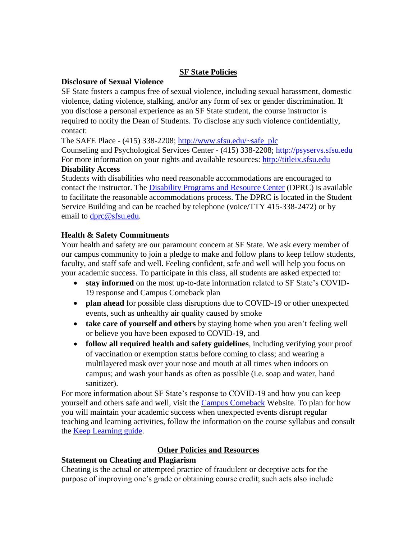## **SF State Policies**

#### **Disclosure of Sexual Violence**

SF State fosters a campus free of sexual violence, including sexual harassment, domestic violence, dating violence, stalking, and/or any form of sex or gender discrimination. If you disclose a personal experience as an SF State student, the course instructor is required to notify the Dean of Students. To disclose any such violence confidentially, contact:

The SAFE Place - (415) 338-2208; [http://www.sfsu.edu/~safe\\_plc](http://www.sfsu.edu/~safe_plc)

Counseling and Psychological Services Center - (415) 338-2208; [http://psyservs.sfsu.edu](http://psyservs.sfsu.edu/) For more information on your rights and available resources: [http://titleix.sfsu.edu](http://titleix.sfsu.edu/) **Disability Access**

Students with disabilities who need reasonable accommodations are encouraged to contact the instructor. The [Disability Programs and Resource Center](http://www.sfsu.edu/~dprc) (DPRC) is available to facilitate the reasonable accommodations process. The DPRC is located in the Student Service Building and can be reached by telephone (voice/TTY 415-338-2472) or by email to [dprc@sfsu.edu.](http://mailto:dprc@sfsu.edu)

## **Health & Safety Commitments**

Your health and safety are our paramount concern at SF State. We ask every member of our campus community to join a pledge to make and follow plans to keep fellow students, faculty, and staff safe and well. Feeling confident, safe and well will help you focus on your academic success. To participate in this class, all students are asked expected to:

- **stay informed** on the most up-to-date information related to SF State's COVID-19 response and Campus Comeback plan
- **plan ahead** for possible class disruptions due to COVID-19 or other unexpected events, such as unhealthy air quality caused by smoke
- **take care of yourself and others** by staying home when you aren't feeling well or believe you have been exposed to COVID-19, and
- **follow all required health and safety guidelines**, including verifying your proof of vaccination or exemption status before coming to class; and wearing a multilayered mask over your nose and mouth at all times when indoors on campus; and wash your hands as often as possible (i.e. soap and water, hand sanitizer).

For more information about SF State's response to COVID-19 and how you can keep yourself and others safe and well, visit the [Campus Comeback](https://together.sfsu.edu/) Website. To plan for how you will maintain your academic success when unexpected events disrupt regular teaching and learning activities, follow the information on the course syllabus and consult the [Keep Learning guide.](https://instructionalcontinuity.sfsu.edu/node/12)

## **Other Policies and Resources**

## **Statement on Cheating and Plagiarism**

Cheating is the actual or attempted practice of fraudulent or deceptive acts for the purpose of improving one's grade or obtaining course credit; such acts also include